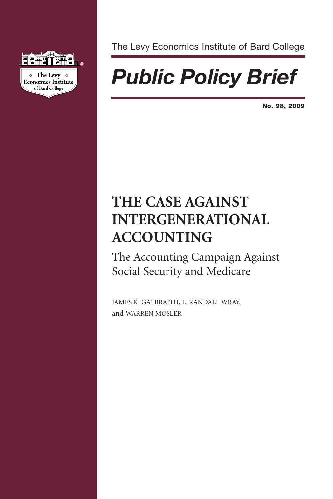

The Levy Economics Institute of Bard College

# *Public Policy Brief*

**No. 98, 2009**

# **THE CASE AGAINST INTERGENERATIONAL ACCOUNTING**

The Accounting Campaign Against Social Security and Medicare

JAMES K. GALBRAITH, L. RANDALL WRAY, and WARREN MOSLER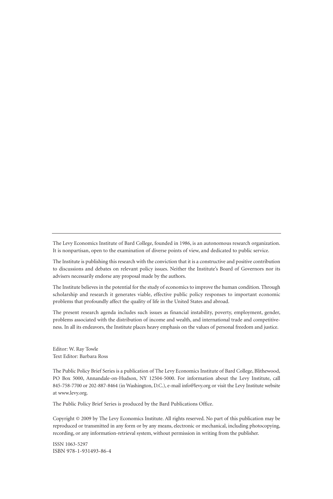The Levy Economics Institute of Bard College, founded in 1986, is an autonomous research organization. It is nonpartisan, open to the examination of diverse points of view, and dedicated to public service.

The Institute is publishing this research with the conviction that it is a constructive and positive contribution to discussions and debates on relevant policy issues. Neither the Institute's Board of Governors nor its advisers necessarily endorse any proposal made by the authors.

The Institute believes in the potential for the study of economics to improve the human condition. Through scholarship and research it generates viable, effective public policy responses to important economic problems that profoundly affect the quality of life in the United States and abroad.

The present research agenda includes such issues as financial instability, poverty, employment, gender, problems associated with the distribution of income and wealth, and international trade and competitiveness. In all its endeavors, the Institute places heavy emphasis on the values of personal freedom and justice.

Editor: W. Ray Towle Text Editor: Barbara Ross

The Public Policy Brief Series is a publication of The Levy Economics Institute of Bard College, Blithewood, PO Box 5000, Annandale-on-Hudson, NY 12504-5000. For information about the Levy Institute, call 845-758-7700 or 202-887-8464 (in Washington, D.C.), e-mail info@levy.org or visit the Levy Institute website at www.levy.org.

The Public Policy Brief Series is produced by the Bard Publications Office.

Copyright © 2009 by The Levy Economics Institute. All rights reserved. No part of this publication may be reproduced or transmitted in any form or by any means, electronic or mechanical, including photocopying, recording, or any information-retrieval system, without permission in writing from the publisher.

ISSN 1063-5297 ISBN 978-1-931493-86-4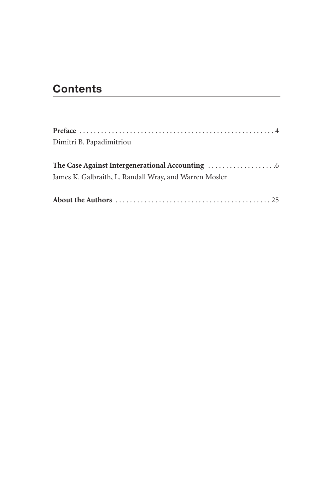# **Contents**

| Dimitri B. Papadimitriou                               |  |
|--------------------------------------------------------|--|
|                                                        |  |
|                                                        |  |
| James K. Galbraith, L. Randall Wray, and Warren Mosler |  |
|                                                        |  |
|                                                        |  |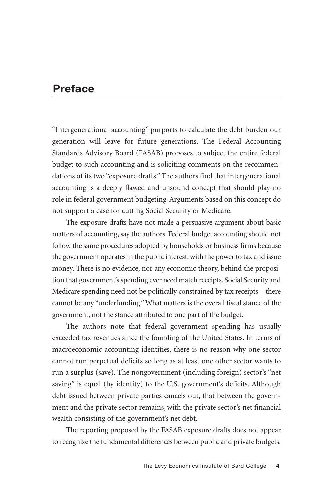### **Preface**

"Intergenerational accounting" purports to calculate the debt burden our generation will leave for future generations. The Federal Accounting Standards Advisory Board (FASAB) proposes to subject the entire federal budget to such accounting and is soliciting comments on the recommendations of its two "exposure drafts." The authors find that intergenerational accounting is a deeply flawed and unsound concept that should play no role in federal government budgeting. Arguments based on this concept do not support a case for cutting Social Security or Medicare.

The exposure drafts have not made a persuasive argument about basic matters of accounting, say the authors. Federal budget accounting should not follow the same procedures adopted by households or business firms because the government operates in the public interest, with the power to tax and issue money. There is no evidence, nor any economic theory, behind the proposition that government's spending ever need match receipts. Social Security and Medicare spending need not be politically constrained by tax receipts—there cannot be any "underfunding." What matters is the overall fiscal stance of the government, not the stance attributed to one part of the budget.

The authors note that federal government spending has usually exceeded tax revenues since the founding of the United States. In terms of macroeconomic accounting identities, there is no reason why one sector cannot run perpetual deficits so long as at least one other sector wants to run a surplus (save). The nongovernment (including foreign) sector's "net saving" is equal (by identity) to the U.S. government's deficits. Although debt issued between private parties cancels out, that between the government and the private sector remains, with the private sector's net financial wealth consisting of the government's net debt.

The reporting proposed by the FASAB exposure drafts does not appear to recognize the fundamental differences between public and private budgets.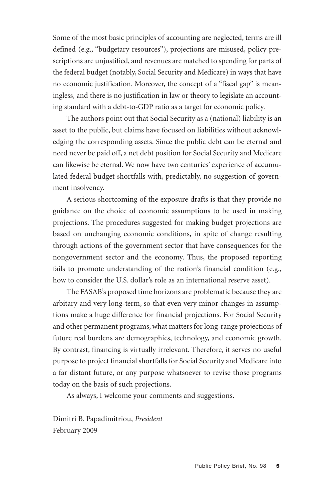Some of the most basic principles of accounting are neglected, terms are ill defined (e.g., "budgetary resources"), projections are misused, policy prescriptions are unjustified, and revenues are matched to spending for parts of the federal budget (notably, Social Security and Medicare) in ways that have no economic justification. Moreover, the concept of a "fiscal gap" is meaningless, and there is no justification in law or theory to legislate an accounting standard with a debt-to-GDP ratio as a target for economic policy.

The authors point out that Social Security as a (national) liability is an asset to the public, but claims have focused on liabilities without acknowledging the corresponding assets. Since the public debt can be eternal and need never be paid off, a net debt position for Social Security and Medicare can likewise be eternal. We now have two centuries' experience of accumulated federal budget shortfalls with, predictably, no suggestion of government insolvency.

A serious shortcoming of the exposure drafts is that they provide no guidance on the choice of economic assumptions to be used in making projections. The procedures suggested for making budget projections are based on unchanging economic conditions, in spite of change resulting through actions of the government sector that have consequences for the nongovernment sector and the economy. Thus, the proposed reporting fails to promote understanding of the nation's financial condition (e.g., how to consider the U.S. dollar's role as an international reserve asset).

The FASAB's proposed time horizons are problematic because they are arbitary and very long-term, so that even very minor changes in assumptions make a huge difference for financial projections. For Social Security and other permanent programs, what matters for long-range projections of future real burdens are demographics, technology, and economic growth. By contrast, financing is virtually irrelevant. Therefore, it serves no useful purpose to project financial shortfalls for Social Security and Medicare into a far distant future, or any purpose whatsoever to revise those programs today on the basis of such projections.

As always, I welcome your comments and suggestions.

Dimitri B. Papadimitriou, *President* February 2009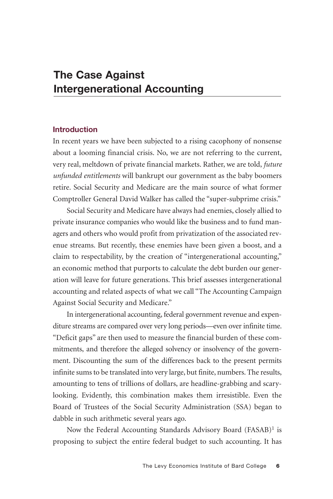#### **Introduction**

In recent years we have been subjected to a rising cacophony of nonsense about a looming financial crisis. No, we are not referring to the current, very real, meltdown of private financial markets. Rather, we are told, *future unfunded entitlements* will bankrupt our government as the baby boomers retire. Social Security and Medicare are the main source of what former Comptroller General David Walker has called the "super-subprime crisis."

Social Security and Medicare have always had enemies, closely allied to private insurance companies who would like the business and to fund managers and others who would profit from privatization of the associated revenue streams. But recently, these enemies have been given a boost, and a claim to respectability, by the creation of "intergenerational accounting," an economic method that purports to calculate the debt burden our generation will leave for future generations. This brief assesses intergenerational accounting and related aspects of what we call "The Accounting Campaign Against Social Security and Medicare."

In intergenerational accounting, federal government revenue and expenditure streams are compared over very long periods—even over infinite time. "Deficit gaps" are then used to measure the financial burden of these commitments, and therefore the alleged solvency or insolvency of the government. Discounting the sum of the differences back to the present permits infinite sums to be translated into very large, but finite, numbers. The results, amounting to tens of trillions of dollars, are headline-grabbing and scarylooking. Evidently, this combination makes them irresistible. Even the Board of Trustees of the Social Security Administration (SSA) began to dabble in such arithmetic several years ago.

Now the Federal Accounting Standards Advisory Board (FASAB)<sup>1</sup> is proposing to subject the entire federal budget to such accounting. It has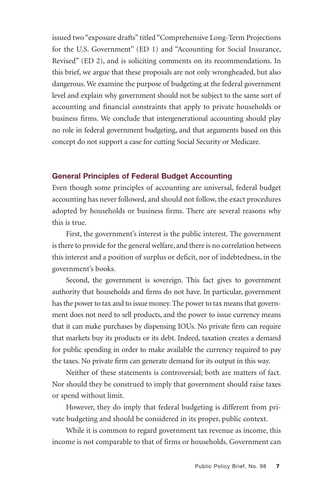issued two "exposure drafts" titled "Comprehensive Long-Term Projections for the U.S. Government" (ED 1) and "Accounting for Social Insurance, Revised" (ED 2), and is soliciting comments on its recommendations. In this brief, we argue that these proposals are not only wrongheaded, but also dangerous. We examine the purpose of budgeting at the federal government level and explain why government should not be subject to the same sort of accounting and financial constraints that apply to private households or business firms. We conclude that intergenerational accounting should play no role in federal government budgeting, and that arguments based on this concept do not support a case for cutting Social Security or Medicare.

#### **General Principles of Federal Budget Accounting**

Even though some principles of accounting are universal, federal budget accounting has never followed, and should not follow, the exact procedures adopted by households or business firms. There are several reasons why this is true.

First, the government's interest is the public interest. The government is there to provide for the general welfare, and there is no correlation between this interest and a position of surplus or deficit, nor of indebtedness, in the government's books.

Second, the government is sovereign. This fact gives to government authority that households and firms do not have. In particular, government has the power to tax and to issue money. The power to tax means that government does not need to sell products, and the power to issue currency means that it can make purchases by dispensing IOUs. No private firm can require that markets buy its products or its debt. Indeed, taxation creates a demand for public spending in order to make available the currency required to pay the taxes. No private firm can generate demand for its output in this way.

Neither of these statements is controversial; both are matters of fact. Nor should they be construed to imply that government should raise taxes or spend without limit.

However, they do imply that federal budgeting is different from private budgeting and should be considered in its proper, public context.

While it is common to regard government tax revenue as income, this income is not comparable to that of firms or households. Government can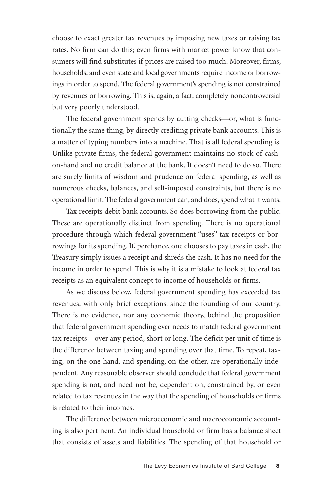choose to exact greater tax revenues by imposing new taxes or raising tax rates. No firm can do this; even firms with market power know that consumers will find substitutes if prices are raised too much. Moreover, firms, households, and even state and local governments require income or borrowings in order to spend. The federal government's spending is not constrained by revenues or borrowing. This is, again, a fact, completely noncontroversial but very poorly understood.

The federal government spends by cutting checks—or, what is functionally the same thing, by directly crediting private bank accounts. This is a matter of typing numbers into a machine. That is all federal spending is. Unlike private firms, the federal government maintains no stock of cashon-hand and no credit balance at the bank. It doesn't need to do so. There are surely limits of wisdom and prudence on federal spending, as well as numerous checks, balances, and self-imposed constraints, but there is no operational limit. The federal government can, and does, spend what it wants.

Tax receipts debit bank accounts. So does borrowing from the public. These are operationally distinct from spending. There is no operational procedure through which federal government "uses" tax receipts or borrowings for its spending. If, perchance, one chooses to pay taxes in cash, the Treasury simply issues a receipt and shreds the cash. It has no need for the income in order to spend. This is why it is a mistake to look at federal tax receipts as an equivalent concept to income of households or firms.

As we discuss below, federal government spending has exceeded tax revenues, with only brief exceptions, since the founding of our country. There is no evidence, nor any economic theory, behind the proposition that federal government spending ever needs to match federal government tax receipts—over any period, short or long. The deficit per unit of time is the difference between taxing and spending over that time. To repeat, taxing, on the one hand, and spending, on the other, are operationally independent. Any reasonable observer should conclude that federal government spending is not, and need not be, dependent on, constrained by, or even related to tax revenues in the way that the spending of households or firms is related to their incomes.

The difference between microeconomic and macroeconomic accounting is also pertinent. An individual household or firm has a balance sheet that consists of assets and liabilities. The spending of that household or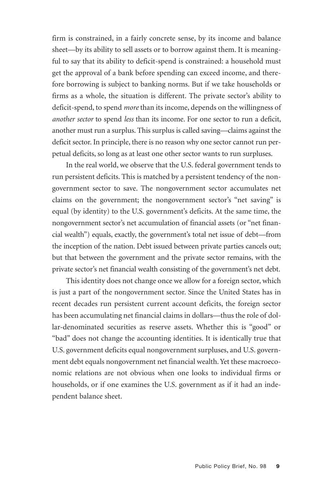firm is constrained, in a fairly concrete sense, by its income and balance sheet—by its ability to sell assets or to borrow against them. It is meaningful to say that its ability to deficit-spend is constrained: a household must get the approval of a bank before spending can exceed income, and therefore borrowing is subject to banking norms. But if we take households or firms as a whole, the situation is different. The private sector's ability to deficit-spend, to spend *more* than its income, depends on the willingness of *another sector* to spend *less* than its income. For one sector to run a deficit, another must run a surplus. This surplus is called saving—claims against the deficit sector. In principle, there is no reason why one sector cannot run perpetual deficits, so long as at least one other sector wants to run surpluses.

In the real world, we observe that the U.S. federal government tends to run persistent deficits. This is matched by a persistent tendency of the nongovernment sector to save. The nongovernment sector accumulates net claims on the government; the nongovernment sector's "net saving" is equal (by identity) to the U.S. government's deficits. At the same time, the nongovernment sector's net accumulation of financial assets (or "net financial wealth") equals, exactly, the government's total net issue of debt—from the inception of the nation. Debt issued between private parties cancels out; but that between the government and the private sector remains, with the private sector's net financial wealth consisting of the government's net debt.

This identity does not change once we allow for a foreign sector, which is just a part of the nongovernment sector. Since the United States has in recent decades run persistent current account deficits, the foreign sector has been accumulating net financial claims in dollars—thus the role of dollar-denominated securities as reserve assets. Whether this is "good" or "bad" does not change the accounting identities. It is identically true that U.S. government deficits equal nongovernment surpluses, and U.S. government debt equals nongovernment net financial wealth. Yet these macroeconomic relations are not obvious when one looks to individual firms or households, or if one examines the U.S. government as if it had an independent balance sheet.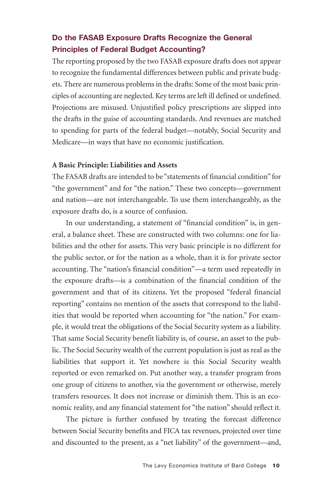#### **Do the FASAB Exposure Drafts Recognize the General Principles of Federal Budget Accounting?**

The reporting proposed by the two FASAB exposure drafts does not appear to recognize the fundamental differences between public and private budgets. There are numerous problems in the drafts: Some of the most basic principles of accounting are neglected. Key terms are left ill defined or undefined. Projections are misused. Unjustified policy prescriptions are slipped into the drafts in the guise of accounting standards. And revenues are matched to spending for parts of the federal budget—notably, Social Security and Medicare—in ways that have no economic justification.

#### **A Basic Principle: Liabilities and Assets**

The FASAB drafts are intended to be "statements of financial condition" for "the government" and for "the nation." These two concepts—government and nation—are not interchangeable. To use them interchangeably, as the exposure drafts do, is a source of confusion.

In our understanding, a statement of "financial condition" is, in general, a balance sheet. These are constructed with two columns: one for liabilities and the other for assets. This very basic principle is no different for the public sector, or for the nation as a whole, than it is for private sector accounting. The "nation's financial condition"—a term used repeatedly in the exposure drafts—is a combination of the financial condition of the government and that of its citizens. Yet the proposed "federal financial reporting" contains no mention of the assets that correspond to the liabilities that would be reported when accounting for "the nation." For example, it would treat the obligations of the Social Security system as a liability. That same Social Security benefit liability is, of course, an asset to the public. The Social Security wealth of the current population is just as real as the liabilities that support it. Yet nowhere is this Social Security wealth reported or even remarked on. Put another way, a transfer program from one group of citizens to another, via the government or otherwise, merely transfers resources. It does not increase or diminish them. This is an economic reality, and any financial statement for "the nation" should reflect it.

The picture is further confused by treating the forecast difference between Social Security benefits and FICA tax revenues, projected over time and discounted to the present, as a "net liability" of the government—and,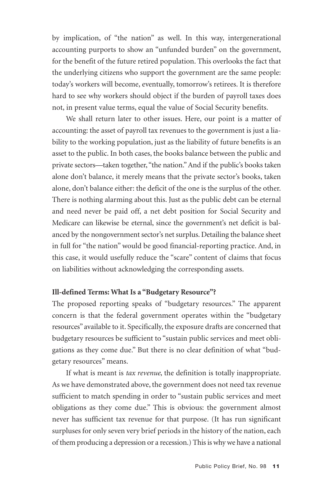by implication, of "the nation" as well. In this way, intergenerational accounting purports to show an "unfunded burden" on the government, for the benefit of the future retired population. This overlooks the fact that the underlying citizens who support the government are the same people: today's workers will become, eventually, tomorrow's retirees. It is therefore hard to see why workers should object if the burden of payroll taxes does not, in present value terms, equal the value of Social Security benefits.

We shall return later to other issues. Here, our point is a matter of accounting: the asset of payroll tax revenues to the government is just a liability to the working population, just as the liability of future benefits is an asset to the public. In both cases, the books balance between the public and private sectors—taken together, "the nation." And if the public's books taken alone don't balance, it merely means that the private sector's books, taken alone, don't balance either: the deficit of the one is the surplus of the other. There is nothing alarming about this. Just as the public debt can be eternal and need never be paid off, a net debt position for Social Security and Medicare can likewise be eternal, since the government's net deficit is balanced by the nongovernment sector's net surplus. Detailing the balance sheet in full for "the nation" would be good financial-reporting practice. And, in this case, it would usefully reduce the "scare" content of claims that focus on liabilities without acknowledging the corresponding assets.

#### **Ill-defined Terms: What Is a "Budgetary Resource"?**

The proposed reporting speaks of "budgetary resources." The apparent concern is that the federal government operates within the "budgetary resources" available to it. Specifically, the exposure drafts are concerned that budgetary resources be sufficient to "sustain public services and meet obligations as they come due." But there is no clear definition of what "budgetary resources" means.

If what is meant is *tax revenue*, the definition is totally inappropriate. As we have demonstrated above, the government does not need tax revenue sufficient to match spending in order to "sustain public services and meet obligations as they come due." This is obvious: the government almost never has sufficient tax revenue for that purpose. (It has run significant surpluses for only seven very brief periods in the history of the nation, each of them producing a depression or a recession.) This is why we have a national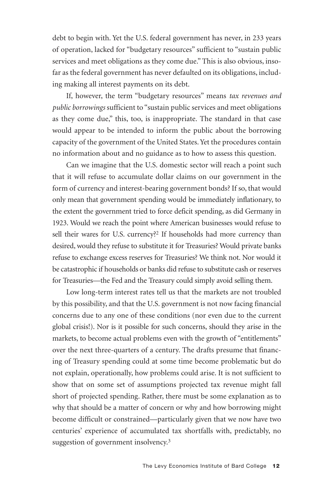debt to begin with. Yet the U.S. federal government has never, in 233 years of operation, lacked for "budgetary resources" sufficient to "sustain public services and meet obligations as they come due." This is also obvious, insofar as the federal government has never defaulted on its obligations, including making all interest payments on its debt.

If, however, the term "budgetary resources" means *tax revenues and public borrowings* sufficient to "sustain public services and meet obligations as they come due," this, too, is inappropriate. The standard in that case would appear to be intended to inform the public about the borrowing capacity of the government of the United States. Yet the procedures contain no information about and no guidance as to how to assess this question.

Can we imagine that the U.S. domestic sector will reach a point such that it will refuse to accumulate dollar claims on our government in the form of currency and interest-bearing government bonds? If so, that would only mean that government spending would be immediately inflationary, to the extent the government tried to force deficit spending, as did Germany in 1923. Would we reach the point where American businesses would refuse to sell their wares for U.S. currency?<sup>2</sup> If households had more currency than desired, would they refuse to substitute it for Treasuries? Would private banks refuse to exchange excess reserves for Treasuries? We think not. Nor would it be catastrophic if households or banks did refuse to substitute cash or reserves for Treasuries—the Fed and the Treasury could simply avoid selling them.

Low long-term interest rates tell us that the markets are not troubled by this possibility, and that the U.S. government is not now facing financial concerns due to any one of these conditions (nor even due to the current global crisis!). Nor is it possible for such concerns, should they arise in the markets, to become actual problems even with the growth of "entitlements" over the next three-quarters of a century. The drafts presume that financing of Treasury spending could at some time become problematic but do not explain, operationally, how problems could arise. It is not sufficient to show that on some set of assumptions projected tax revenue might fall short of projected spending. Rather, there must be some explanation as to why that should be a matter of concern or why and how borrowing might become difficult or constrained—particularly given that we now have two centuries' experience of accumulated tax shortfalls with, predictably, no suggestion of government insolvency.<sup>3</sup>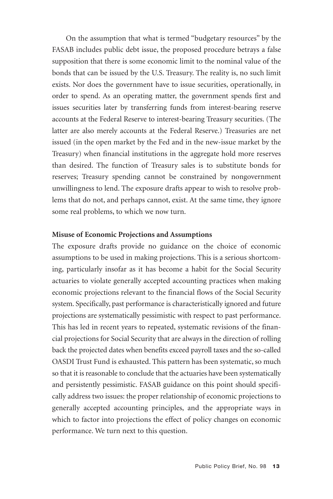On the assumption that what is termed "budgetary resources" by the FASAB includes public debt issue, the proposed procedure betrays a false supposition that there is some economic limit to the nominal value of the bonds that can be issued by the U.S. Treasury. The reality is, no such limit exists. Nor does the government have to issue securities, operationally, in order to spend. As an operating matter, the government spends first and issues securities later by transferring funds from interest-bearing reserve accounts at the Federal Reserve to interest-bearing Treasury securities. (The latter are also merely accounts at the Federal Reserve.) Treasuries are net issued (in the open market by the Fed and in the new-issue market by the Treasury) when financial institutions in the aggregate hold more reserves than desired. The function of Treasury sales is to substitute bonds for reserves; Treasury spending cannot be constrained by nongovernment unwillingness to lend. The exposure drafts appear to wish to resolve problems that do not, and perhaps cannot, exist. At the same time, they ignore some real problems, to which we now turn.

#### **Misuse of Economic Projections and Assumptions**

The exposure drafts provide no guidance on the choice of economic assumptions to be used in making projections. This is a serious shortcoming, particularly insofar as it has become a habit for the Social Security actuaries to violate generally accepted accounting practices when making economic projections relevant to the financial flows of the Social Security system. Specifically, past performance is characteristically ignored and future projections are systematically pessimistic with respect to past performance. This has led in recent years to repeated, systematic revisions of the financial projections for Social Security that are always in the direction of rolling back the projected dates when benefits exceed payroll taxes and the so-called OASDI Trust Fund is exhausted. This pattern has been systematic, so much so that it is reasonable to conclude that the actuaries have been systematically and persistently pessimistic. FASAB guidance on this point should specifically address two issues: the proper relationship of economic projections to generally accepted accounting principles, and the appropriate ways in which to factor into projections the effect of policy changes on economic performance. We turn next to this question.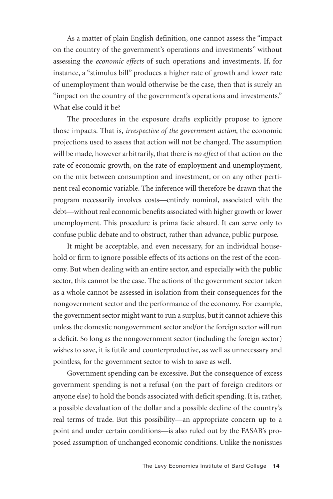As a matter of plain English definition, one cannot assess the "impact on the country of the government's operations and investments" without assessing the *economic effects* of such operations and investments. If, for instance, a "stimulus bill" produces a higher rate of growth and lower rate of unemployment than would otherwise be the case, then that is surely an "impact on the country of the government's operations and investments." What else could it be?

The procedures in the exposure drafts explicitly propose to ignore those impacts. That is, *irrespective of the government action*, the economic projections used to assess that action will not be changed. The assumption will be made, however arbitrarily, that there is *no effect* of that action on the rate of economic growth, on the rate of employment and unemployment, on the mix between consumption and investment, or on any other pertinent real economic variable. The inference will therefore be drawn that the program necessarily involves costs—entirely nominal, associated with the debt—without real economic benefits associated with higher growth or lower unemployment. This procedure is prima facie absurd. It can serve only to confuse public debate and to obstruct, rather than advance, public purpose.

It might be acceptable, and even necessary, for an individual household or firm to ignore possible effects of its actions on the rest of the economy. But when dealing with an entire sector, and especially with the public sector, this cannot be the case. The actions of the government sector taken as a whole cannot be assessed in isolation from their consequences for the nongovernment sector and the performance of the economy. For example, the government sector might want to run a surplus, but it cannot achieve this unless the domestic nongovernment sector and/or the foreign sector will run a deficit. So long as the nongovernment sector (including the foreign sector) wishes to save, it is futile and counterproductive, as well as unnecessary and pointless, for the government sector to wish to save as well.

Government spending can be excessive. But the consequence of excess government spending is not a refusal (on the part of foreign creditors or anyone else) to hold the bonds associated with deficit spending. It is, rather, a possible devaluation of the dollar and a possible decline of the country's real terms of trade. But this possibility—an appropriate concern up to a point and under certain conditions—is also ruled out by the FASAB's proposed assumption of unchanged economic conditions. Unlike the nonissues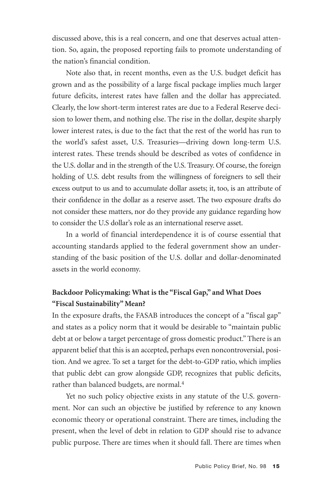discussed above, this is a real concern, and one that deserves actual attention. So, again, the proposed reporting fails to promote understanding of the nation's financial condition.

Note also that, in recent months, even as the U.S. budget deficit has grown and as the possibility of a large fiscal package implies much larger future deficits, interest rates have fallen and the dollar has appreciated. Clearly, the low short-term interest rates are due to a Federal Reserve decision to lower them, and nothing else. The rise in the dollar, despite sharply lower interest rates, is due to the fact that the rest of the world has run to the world's safest asset, U.S. Treasuries—driving down long-term U.S. interest rates. These trends should be described as votes of confidence in the U.S. dollar and in the strength of the U.S. Treasury. Of course, the foreign holding of U.S. debt results from the willingness of foreigners to sell their excess output to us and to accumulate dollar assets; it, too, is an attribute of their confidence in the dollar as a reserve asset. The two exposure drafts do not consider these matters, nor do they provide any guidance regarding how to consider the U.S dollar's role as an international reserve asset.

In a world of financial interdependence it is of course essential that accounting standards applied to the federal government show an understanding of the basic position of the U.S. dollar and dollar-denominated assets in the world economy.

#### **Backdoor Policymaking: What is the "Fiscal Gap," and What Does "Fiscal Sustainability" Mean?**

In the exposure drafts, the FASAB introduces the concept of a "fiscal gap" and states as a policy norm that it would be desirable to "maintain public debt at or below a target percentage of gross domestic product." There is an apparent belief that this is an accepted, perhaps even noncontroversial, position. And we agree. To set a target for the debt-to-GDP ratio, which implies that public debt can grow alongside GDP, recognizes that public deficits, rather than balanced budgets, are normal.<sup>4</sup>

Yet no such policy objective exists in any statute of the U.S. government. Nor can such an objective be justified by reference to any known economic theory or operational constraint. There are times, including the present, when the level of debt in relation to GDP should rise to advance public purpose. There are times when it should fall. There are times when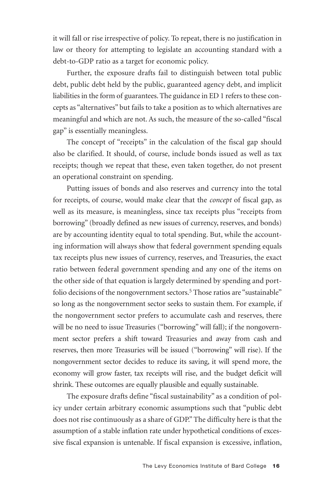it will fall or rise irrespective of policy. To repeat, there is no justification in law or theory for attempting to legislate an accounting standard with a debt-to-GDP ratio as a target for economic policy.

Further, the exposure drafts fail to distinguish between total public debt, public debt held by the public, guaranteed agency debt, and implicit liabilities in the form of guarantees. The guidance in ED 1 refers to these concepts as "alternatives" but fails to take a position as to which alternatives are meaningful and which are not. As such, the measure of the so-called "fiscal gap" is essentially meaningless.

The concept of "receipts" in the calculation of the fiscal gap should also be clarified. It should, of course, include bonds issued as well as tax receipts; though we repeat that these, even taken together, do not present an operational constraint on spending.

Putting issues of bonds and also reserves and currency into the total for receipts, of course, would make clear that the *concept* of fiscal gap, as well as its measure, is meaningless, since tax receipts plus "receipts from borrowing" (broadly defined as new issues of currency, reserves, and bonds) are by accounting identity equal to total spending. But, while the accounting information will always show that federal government spending equals tax receipts plus new issues of currency, reserves, and Treasuries, the exact ratio between federal government spending and any one of the items on the other side of that equation is largely determined by spending and portfolio decisions of the nongovernment sectors.<sup>5</sup> Those ratios are "sustainable" so long as the nongovernment sector seeks to sustain them. For example, if the nongovernment sector prefers to accumulate cash and reserves, there will be no need to issue Treasuries ("borrowing" will fall); if the nongovernment sector prefers a shift toward Treasuries and away from cash and reserves, then more Treasuries will be issued ("borrowing" will rise). If the nongovernment sector decides to reduce its saving, it will spend more, the economy will grow faster, tax receipts will rise, and the budget deficit will shrink. These outcomes are equally plausible and equally sustainable.

The exposure drafts define "fiscal sustainability" as a condition of policy under certain arbitrary economic assumptions such that "public debt does not rise continuously as a share of GDP." The difficulty here is that the assumption of a stable inflation rate under hypothetical conditions of excessive fiscal expansion is untenable. If fiscal expansion is excessive, inflation,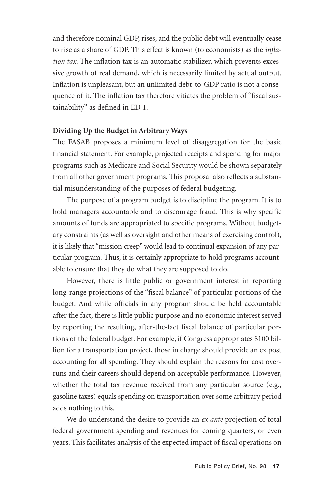and therefore nominal GDP, rises, and the public debt will eventually cease to rise as a share of GDP. This effect is known (to economists) as the *inflation tax*. The inflation tax is an automatic stabilizer, which prevents excessive growth of real demand, which is necessarily limited by actual output. Inflation is unpleasant, but an unlimited debt-to-GDP ratio is not a consequence of it. The inflation tax therefore vitiates the problem of "fiscal sustainability" as defined in ED 1.

#### **Dividing Up the Budget in Arbitrary Ways**

The FASAB proposes a minimum level of disaggregation for the basic financial statement. For example, projected receipts and spending for major programs such as Medicare and Social Security would be shown separately from all other government programs. This proposal also reflects a substantial misunderstanding of the purposes of federal budgeting.

The purpose of a program budget is to discipline the program. It is to hold managers accountable and to discourage fraud. This is why specific amounts of funds are appropriated to specific programs. Without budgetary constraints (as well as oversight and other means of exercising control), it is likely that "mission creep" would lead to continual expansion of any particular program. Thus, it is certainly appropriate to hold programs accountable to ensure that they do what they are supposed to do.

However, there is little public or government interest in reporting long-range projections of the "fiscal balance" of particular portions of the budget. And while officials in any program should be held accountable after the fact, there is little public purpose and no economic interest served by reporting the resulting, after-the-fact fiscal balance of particular portions of the federal budget. For example, if Congress appropriates \$100 billion for a transportation project, those in charge should provide an ex post accounting for all spending. They should explain the reasons for cost overruns and their careers should depend on acceptable performance. However, whether the total tax revenue received from any particular source (e.g., gasoline taxes) equals spending on transportation over some arbitrary period adds nothing to this.

We do understand the desire to provide an *ex ante* projection of total federal government spending and revenues for coming quarters, or even years. This facilitates analysis of the expected impact of fiscal operations on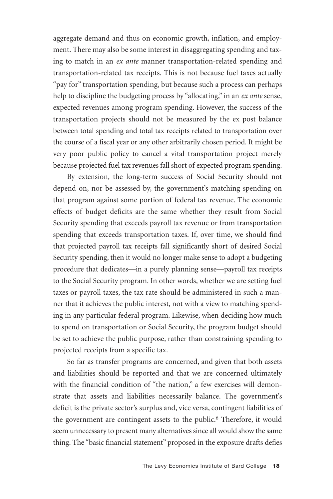aggregate demand and thus on economic growth, inflation, and employment. There may also be some interest in disaggregating spending and taxing to match in an *ex ante* manner transportation-related spending and transportation-related tax receipts. This is not because fuel taxes actually "pay for" transportation spending, but because such a process can perhaps help to discipline the budgeting process by "allocating," in an *ex ante* sense, expected revenues among program spending. However, the success of the transportation projects should not be measured by the ex post balance between total spending and total tax receipts related to transportation over the course of a fiscal year or any other arbitrarily chosen period. It might be very poor public policy to cancel a vital transportation project merely because projected fuel tax revenues fall short of expected program spending.

By extension, the long-term success of Social Security should not depend on, nor be assessed by, the government's matching spending on that program against some portion of federal tax revenue. The economic effects of budget deficits are the same whether they result from Social Security spending that exceeds payroll tax revenue or from transportation spending that exceeds transportation taxes. If, over time, we should find that projected payroll tax receipts fall significantly short of desired Social Security spending, then it would no longer make sense to adopt a budgeting procedure that dedicates—in a purely planning sense—payroll tax receipts to the Social Security program. In other words, whether we are setting fuel taxes or payroll taxes, the tax rate should be administered in such a manner that it achieves the public interest, not with a view to matching spending in any particular federal program. Likewise, when deciding how much to spend on transportation or Social Security, the program budget should be set to achieve the public purpose, rather than constraining spending to projected receipts from a specific tax.

So far as transfer programs are concerned, and given that both assets and liabilities should be reported and that we are concerned ultimately with the financial condition of "the nation," a few exercises will demonstrate that assets and liabilities necessarily balance. The government's deficit is the private sector's surplus and, vice versa, contingent liabilities of the government are contingent assets to the public.<sup>6</sup> Therefore, it would seem unnecessary to present many alternatives since all would show the same thing. The "basic financial statement" proposed in the exposure drafts defies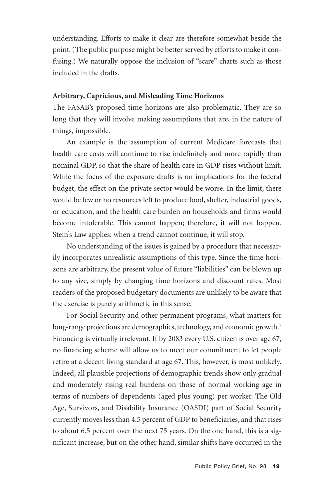understanding. Efforts to make it clear are therefore somewhat beside the point. (The public purpose might be better served by efforts to make it confusing.) We naturally oppose the inclusion of "scare" charts such as those included in the drafts.

#### **Arbitrary, Capricious, and Misleading Time Horizons**

The FASAB's proposed time horizons are also problematic. They are so long that they will involve making assumptions that are, in the nature of things, impossible.

An example is the assumption of current Medicare forecasts that health care costs will continue to rise indefinitely and more rapidly than nominal GDP, so that the share of health care in GDP rises without limit. While the focus of the exposure drafts is on implications for the federal budget, the effect on the private sector would be worse. In the limit, there would be few or no resources left to produce food, shelter, industrial goods, or education, and the health care burden on households and firms would become intolerable. This cannot happen; therefore, it will not happen. Stein's Law applies: when a trend cannot continue, it will stop.

No understanding of the issues is gained by a procedure that necessarily incorporates unrealistic assumptions of this type. Since the time horizons are arbitrary, the present value of future "liabilities" can be blown up to any size, simply by changing time horizons and discount rates. Most readers of the proposed budgetary documents are unlikely to be aware that the exercise is purely arithmetic in this sense.

For Social Security and other permanent programs, what matters for long-range projections are demographics, technology, and economic growth.<sup>7</sup> Financing is virtually irrelevant. If by 2083 every U.S. citizen is over age 67, no financing scheme will allow us to meet our commitment to let people retire at a decent living standard at age 67. This, however, is most unlikely. Indeed, all plausible projections of demographic trends show only gradual and moderately rising real burdens on those of normal working age in terms of numbers of dependents (aged plus young) per worker. The Old Age, Survivors, and Disability Insurance (OASDI) part of Social Security currently moves less than 4.5 percent of GDP to beneficiaries, and that rises to about 6.5 percent over the next 75 years. On the one hand, this is a significant increase, but on the other hand, similar shifts have occurred in the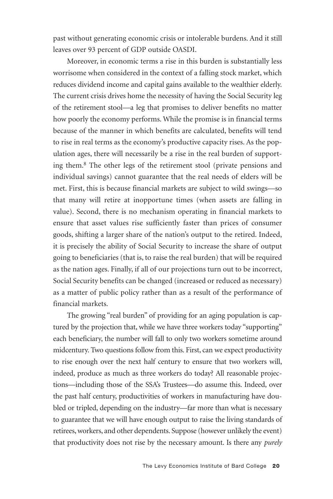past without generating economic crisis or intolerable burdens. And it still leaves over 93 percent of GDP outside OASDI.

Moreover, in economic terms a rise in this burden is substantially less worrisome when considered in the context of a falling stock market, which reduces dividend income and capital gains available to the wealthier elderly. The current crisis drives home the necessity of having the Social Security leg of the retirement stool—a leg that promises to deliver benefits no matter how poorly the economy performs. While the promise is in financial terms because of the manner in which benefits are calculated, benefits will tend to rise in real terms as the economy's productive capacity rises. As the population ages, there will necessarily be a rise in the real burden of supporting them.8 The other legs of the retirement stool (private pensions and individual savings) cannot guarantee that the real needs of elders will be met. First, this is because financial markets are subject to wild swings—so that many will retire at inopportune times (when assets are falling in value). Second, there is no mechanism operating in financial markets to ensure that asset values rise sufficiently faster than prices of consumer goods, shifting a larger share of the nation's output to the retired. Indeed, it is precisely the ability of Social Security to increase the share of output going to beneficiaries (that is, to raise the real burden) that will be required as the nation ages. Finally, if all of our projections turn out to be incorrect, Social Security benefits can be changed (increased or reduced as necessary) as a matter of public policy rather than as a result of the performance of financial markets.

The growing "real burden" of providing for an aging population is captured by the projection that, while we have three workers today "supporting" each beneficiary, the number will fall to only two workers sometime around midcentury. Two questions follow from this. First, can we expect productivity to rise enough over the next half century to ensure that two workers will, indeed, produce as much as three workers do today? All reasonable projections—including those of the SSA's Trustees—do assume this. Indeed, over the past half century, productivities of workers in manufacturing have doubled or tripled, depending on the industry—far more than what is necessary to guarantee that we will have enough output to raise the living standards of retirees, workers, and other dependents. Suppose (however unlikely the event) that productivity does not rise by the necessary amount. Is there any *purely*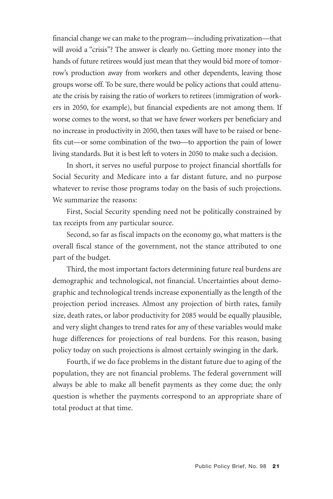financial change we can make to the program—including privatization—that will avoid a "crisis"? The answer is clearly no. Getting more money into the hands of future retirees would just mean that they would bid more of tomorrow's production away from workers and other dependents, leaving those groups worse off. To be sure, there would be policy actions that could attenuate the crisis by raising the ratio of workers to retirees (immigration of workers in 2050, for example), but financial expedients are not among them. If worse comes to the worst, so that we have fewer workers per beneficiary and no increase in productivity in 2050, then taxes will have to be raised or benefits cut—or some combination of the two—to apportion the pain of lower living standards. But it is best left to voters in 2050 to make such a decision.

In short, it serves no useful purpose to project financial shortfalls for Social Security and Medicare into a far distant future, and no purpose whatever to revise those programs today on the basis of such projections. We summarize the reasons:

First, Social Security spending need not be politically constrained by tax receipts from any particular source.

Second, so far as fiscal impacts on the economy go, what matters is the overall fiscal stance of the government, not the stance attributed to one part of the budget.

Third, the most important factors determining future real burdens are demographic and technological, not financial. Uncertainties about demographic and technological trends increase exponentially as the length of the projection period increases. Almost any projection of birth rates, family size, death rates, or labor productivity for 2085 would be equally plausible, and very slight changes to trend rates for any of these variables would make huge differences for projections of real burdens. For this reason, basing policy today on such projections is almost certainly swinging in the dark.

Fourth, if we do face problems in the distant future due to aging of the population, they are not financial problems. The federal government will always be able to make all benefit payments as they come due; the only question is whether the payments correspond to an appropriate share of total product at that time.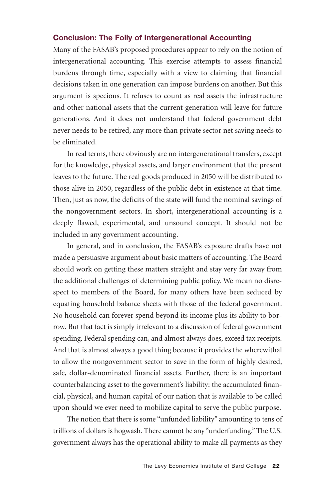#### **Conclusion: The Folly of Intergenerational Accounting**

Many of the FASAB's proposed procedures appear to rely on the notion of intergenerational accounting. This exercise attempts to assess financial burdens through time, especially with a view to claiming that financial decisions taken in one generation can impose burdens on another. But this argument is specious. It refuses to count as real assets the infrastructure and other national assets that the current generation will leave for future generations. And it does not understand that federal government debt never needs to be retired, any more than private sector net saving needs to be eliminated.

In real terms, there obviously are no intergenerational transfers, except for the knowledge, physical assets, and larger environment that the present leaves to the future. The real goods produced in 2050 will be distributed to those alive in 2050, regardless of the public debt in existence at that time. Then, just as now, the deficits of the state will fund the nominal savings of the nongovernment sectors. In short, intergenerational accounting is a deeply flawed, experimental, and unsound concept. It should not be included in any government accounting.

In general, and in conclusion, the FASAB's exposure drafts have not made a persuasive argument about basic matters of accounting. The Board should work on getting these matters straight and stay very far away from the additional challenges of determining public policy. We mean no disrespect to members of the Board, for many others have been seduced by equating household balance sheets with those of the federal government. No household can forever spend beyond its income plus its ability to borrow. But that fact is simply irrelevant to a discussion of federal government spending. Federal spending can, and almost always does, exceed tax receipts. And that is almost always a good thing because it provides the wherewithal to allow the nongovernment sector to save in the form of highly desired, safe, dollar-denominated financial assets. Further, there is an important counterbalancing asset to the government's liability: the accumulated financial, physical, and human capital of our nation that is available to be called upon should we ever need to mobilize capital to serve the public purpose.

The notion that there is some "unfunded liability" amounting to tens of trillions of dollars is hogwash. There cannot be any "underfunding." The U.S. government always has the operational ability to make all payments as they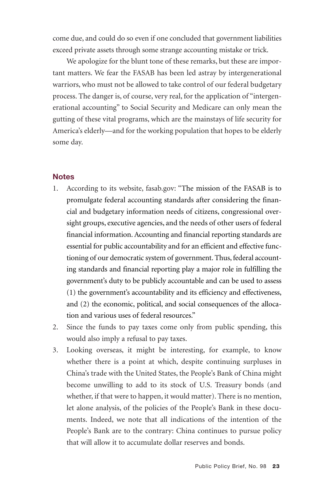come due, and could do so even if one concluded that government liabilities exceed private assets through some strange accounting mistake or trick.

We apologize for the blunt tone of these remarks, but these are important matters. We fear the FASAB has been led astray by intergenerational warriors, who must not be allowed to take control of our federal budgetary process. The danger is, of course, very real, for the application of "intergenerational accounting" to Social Security and Medicare can only mean the gutting of these vital programs, which are the mainstays of life security for America's elderly—and for the working population that hopes to be elderly some day.

#### **Notes**

- 1. According to its website, fasab.gov: "The mission of the FASAB is to promulgate federal accounting standards after considering the financial and budgetary information needs of citizens, congressional oversight groups, executive agencies, and the needs of other users of federal financial information. Accounting and financial reporting standards are essential for public accountability and for an efficient and effective functioning of our democratic system of government. Thus, federal accounting standards and financial reporting play a major role in fulfilling the government's duty to be publicly accountable and can be used to assess (1) the government's accountability and its efficiency and effectiveness, and (2) the economic, political, and social consequences of the allocation and various uses of federal resources."
- 2. Since the funds to pay taxes come only from public spending, this would also imply a refusal to pay taxes.
- 3. Looking overseas, it might be interesting, for example, to know whether there is a point at which, despite continuing surpluses in China's trade with the United States, the People's Bank of China might become unwilling to add to its stock of U.S. Treasury bonds (and whether, if that were to happen, it would matter). There is no mention, let alone analysis, of the policies of the People's Bank in these documents. Indeed, we note that all indications of the intention of the People's Bank are to the contrary: China continues to pursue policy that will allow it to accumulate dollar reserves and bonds.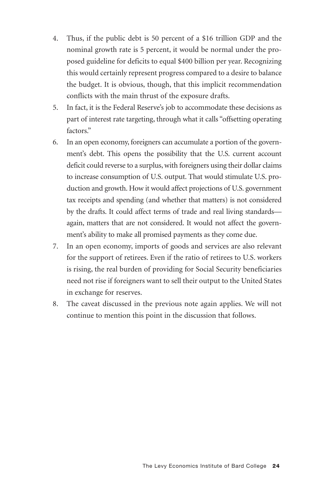- 4. Thus, if the public debt is 50 percent of a \$16 trillion GDP and the nominal growth rate is 5 percent, it would be normal under the proposed guideline for deficits to equal \$400 billion per year. Recognizing this would certainly represent progress compared to a desire to balance the budget. It is obvious, though, that this implicit recommendation conflicts with the main thrust of the exposure drafts.
- 5. In fact, it is the Federal Reserve's job to accommodate these decisions as part of interest rate targeting, through what it calls "offsetting operating factors."
- 6. In an open economy, foreigners can accumulate a portion of the government's debt. This opens the possibility that the U.S. current account deficit could reverse to a surplus, with foreigners using their dollar claims to increase consumption of U.S. output. That would stimulate U.S. production and growth. How it would affect projections of U.S. government tax receipts and spending (and whether that matters) is not considered by the drafts. It could affect terms of trade and real living standards again, matters that are not considered. It would not affect the government's ability to make all promised payments as they come due.
- 7. In an open economy, imports of goods and services are also relevant for the support of retirees. Even if the ratio of retirees to U.S. workers is rising, the real burden of providing for Social Security beneficiaries need not rise if foreigners want to sell their output to the United States in exchange for reserves.
- 8. The caveat discussed in the previous note again applies. We will not continue to mention this point in the discussion that follows.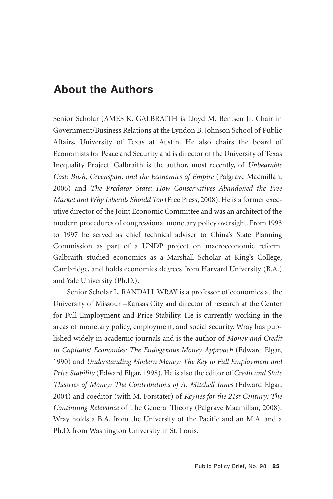# **About the Authors**

Senior Scholar JAMES K. GALBRAITH is Lloyd M. Bentsen Jr. Chair in Government/Business Relations at the Lyndon B. Johnson School of Public Affairs, University of Texas at Austin. He also chairs the board of Economists for Peace and Security and is director of the University of Texas Inequality Project. Galbraith is the author, most recently, of *Unbearable Cost: Bush, Greenspan, and the Economics of Empire (Palgrave Macmillan,* 2006) and *The Predator State: How Conservatives Abandoned the Free Market and Why Liberals Should Too* (Free Press, 2008). He is a former executive director of the Joint Economic Committee and was an architect of the modern procedures of congressional monetary policy oversight. From 1993 to 1997 he served as chief technical adviser to China's State Planning Commission as part of a UNDP project on macroeconomic reform. Galbraith studied economics as a Marshall Scholar at King's College, Cambridge, and holds economics degrees from Harvard University (B.A.) and Yale University (Ph.D.).

Senior Scholar L. RANDALL WRAY is a professor of economics at the University of Missouri–Kansas City and director of research at the Center for Full Employment and Price Stability. He is currently working in the areas of monetary policy, employment, and social security. Wray has published widely in academic journals and is the author of *Money and Credit in Capitalist Economies: The Endogenous Money Approach* (Edward Elgar, 1990) and *Understanding Modern Money: The Key to Full Employment and Price Stability* (Edward Elgar, 1998). He is also the editor of *Credit and State Theories of Money: The Contributions of A. Mitchell Innes* (Edward Elgar, 2004) and coeditor (with M. Forstater) of *Keynes for the 21st Century: The Continuing Relevance* of The General Theory (Palgrave Macmillan, 2008). Wray holds a B.A. from the University of the Pacific and an M.A. and a Ph.D. from Washington University in St. Louis.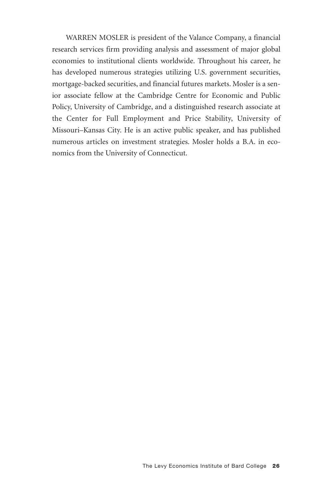WARREN MOSLER is president of the Valance Company, a financial research services firm providing analysis and assessment of major global economies to institutional clients worldwide. Throughout his career, he has developed numerous strategies utilizing U.S. government securities, mortgage-backed securities, and financial futures markets. Mosler is a senior associate fellow at the Cambridge Centre for Economic and Public Policy, University of Cambridge, and a distinguished research associate at the Center for Full Employment and Price Stability, University of Missouri–Kansas City. He is an active public speaker, and has published numerous articles on investment strategies. Mosler holds a B.A. in economics from the University of Connecticut.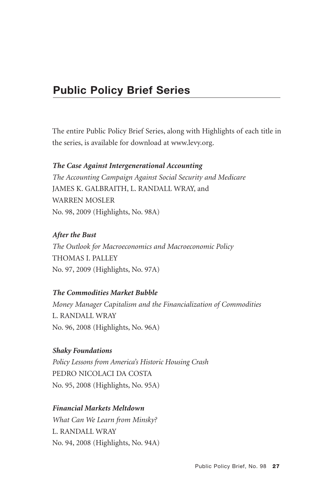# **Public Policy Brief Series**

The entire Public Policy Brief Series, along with Highlights of each title in the series, is available for download at www.levy.org.

#### *The Case Against Intergenerational Accounting*

*The Accounting Campaign Against Social Security and Medicare* JAMES K. GALBRAITH, L. RANDALL WRAY, and WARREN MOSLER No. 98, 2009 (Highlights, No. 98A)

#### *After the Bust*

*The Outlook for Macroeconomics and Macroeconomic Policy* THOMAS I. PALLEY No. 97, 2009 (Highlights, No. 97A)

#### *The Commodities Market Bubble*

*Money Manager Capitalism and the Financialization of Commodities* L. RANDALL WRAY No. 96, 2008 (Highlights, No. 96A)

#### *Shaky Foundations*

*Policy Lessons from America's Historic Housing Crash* PEDRO NICOLACI DA COSTA No. 95, 2008 (Highlights, No. 95A)

#### *Financial Markets Meltdown*

*What Can We Learn from Minsky?* L. RANDALL WRAY No. 94, 2008 (Highlights, No. 94A)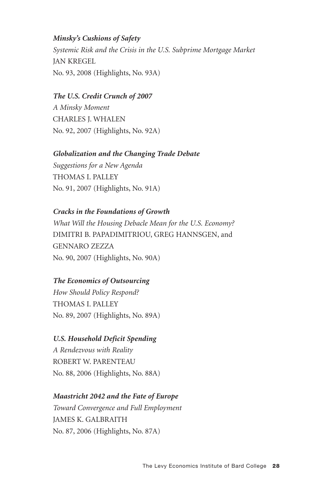#### *Minsky's Cushions of Safety*

*Systemic Risk and the Crisis in the U.S. Subprime Mortgage Market* JAN KREGEL No. 93, 2008 (Highlights, No. 93A)

#### *The U.S. Credit Crunch of 2007*

*A Minsky Moment* CHARLES J. WHALEN No. 92, 2007 (Highlights, No. 92A)

#### *Globalization and the Changing Trade Debate*

*Suggestions for a New Agenda* THOMAS I. PALLEY No. 91, 2007 (Highlights, No. 91A)

#### *Cracks in the Foundations of Growth*

*What Will the Housing Debacle Mean for the U.S. Economy?* DIMITRI B. PAPADIMITRIOU, GREG HANNSGEN, and GENNARO ZEZZA No. 90, 2007 (Highlights, No. 90A)

#### *The Economics of Outsourcing*

*How Should Policy Respond?* THOMAS I. PALLEY No. 89, 2007 (Highlights, No. 89A)

#### *U.S. Household Deficit Spending*

*A Rendezvous with Reality* ROBERT W. PARENTEAU No. 88, 2006 (Highlights, No. 88A)

#### *Maastricht 2042 and the Fate of Europe*

*Toward Convergence and Full Employment* JAMES K. GALBRAITH No. 87, 2006 (Highlights, No. 87A)